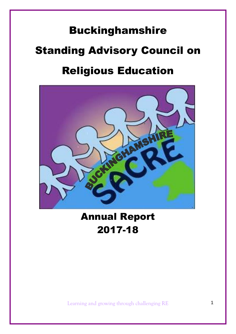# Buckinghamshire Standing Advisory Council on Religious Education



Annual Report 2017-18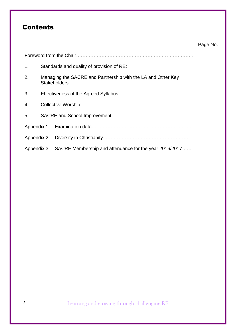# **Contents**

### Page No.

| 1. |  | Standards and quality of provision of RE:                                     |  |  |  |
|----|--|-------------------------------------------------------------------------------|--|--|--|
| 2. |  | Managing the SACRE and Partnership with the LA and Other Key<br>Stakeholders: |  |  |  |
| 3. |  | Effectiveness of the Agreed Syllabus:                                         |  |  |  |
| 4. |  | <b>Collective Worship:</b>                                                    |  |  |  |
| 5. |  | <b>SACRE</b> and School Improvement:                                          |  |  |  |
|    |  |                                                                               |  |  |  |
|    |  |                                                                               |  |  |  |
|    |  | Appendix 3: SACRE Membership and attendance for the year 2016/2017            |  |  |  |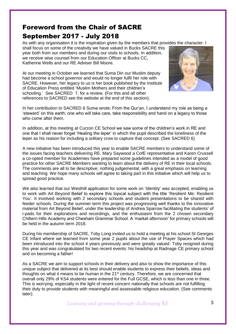# Foreword from the Chair of SACRE September 2017 - July 2018

As with any organisation it is the inspiration given by the members that provides the character. I

shall focus on some of the creativity we have valued in Bucks SACRE this year both from our members and during our visits to schools. In addition, we receive wise counsel from our Education Officer at Bucks CC, Katherine Wells and our RE Adviser Bill Moore.

At our meeting in October we learned that Suma Din our Muslim deputy had become a school governor and would no longer fulfil her role with SACRE. However, her legacy to us is her book published by the Institute of Education Press entitled 'Muslim Mothers and their children's schooling.' See SACRED 7, for a review. (For this and all other references to SACRED see the website at the end of this section).



In her contribution to SACRED 6 Suma wrote; From the Qur'an, I understand my role as being a 'steward' on this earth; one who will take care, take responsibility and hand on a legacy to those who come after them.

In addition, at this meeting at Curzon CE School we saw some of the children's work in RE and one that I shall never forget 'Healing the leper' in which the pupil described the loneliness of the leper as his reason for including a solitary crow to capture that concept. (See SACRED 6)

A new initiative has been introduced this year to enable SACRE members to understand some of the issues facing teachers delivering RE. Mary Saywood a CofE representative and Karen Crussell a co-opted member for Academies have prepared some guidelines intended as a model of good practice for other SACRE Members wanting to learn about the delivery of RE in their local schools. The comments are all to be descriptive; nothing judgemental, with a great emphasis on learning and teaching. We hope many schools will agree to taking part in this initiative which will help us to spread good practice.

We also learned that our Westhill application for some work on 'Identity' was accepted, enabling us to work with Art Beyond Belief to explore this topical subject with the title 'Resilient Me: Resilient You'. It involved working with 2 secondary schools and student presentations to be shared with feeder schools. During the summer term this project was progressing well thanks to the innovative material from Art Beyond Belief, under the leadership of Andrea Sparrow facilitating the students' of i-pads for their explorations and recordings, and the enthusiasm from the 2 chosen secondary Chiltern Hills Academy and Chesham Grammar School. A 'market afternoon' for primary schools will be held in the autumn term 2018.

During his membership of SACRE, Toby Long invited us to hold a meeting at his school St Georges CE Infant where we learned from some year 2 pupils about the use of Prayer Spaces which had been introduced into the school 4 years previously and were greatly valued. Toby resigned during this year and was congratulated for two recent events: his headship at Radnage CE primary school and on becoming a father!

As a SACRE we aim to support schools in their delivery and also to show the importance of this unique subject that delivered at its best should enable students to express their beliefs, ideas and thoughts on what it means to be human in the 21<sup>st</sup> century. Therefore, we are concerned that overall only 29% of KS4 students were entered for the Full GCSE, which is less than one in three. This is worrying, especially in the light of recent concern nationally that schools are not fulfilling their duty to provide students with meaningful and assessable religious education. (See comments later).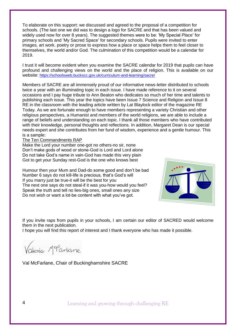To elaborate on this support: we discussed and agreed to the proposal of a competition for schools. (The last one we did was to design a logo for SACRE and that has been valued and widely used now for over 8 years). The suggested themes were to be: 'My Special Place' for primary schools and 'My Sacred Space' for secondary schools. Pupils were invited to enter images, art work. poetry or prose to express how a place or space helps them to feel closer to themselves, the world and/or God. The culmination of this competition would be a calendar for 2019.

I trust it will become evident when you examine the SACRE calendar for 2019 that pupils can have profound and challenging views on the world and the place of religion. This is available on our website: <https://schoolsweb.buckscc.gov.uk/curriculum-and-learning/sacre/>

Members of SACRE are all immensely proud of our informative news-letter distributed to schools twice a year with an illuminating topic in each issue. I have made reference to it on several occasions and I pay huge tribute to Ann Beaton who dedicates so much of her time and talents to publishing each issue. This year the topics have been Issue 7 Science and Religion and Issue 8 RE in the classroom with the leading article written by Lat Blaylock editor of the magazine RE Today. As we are fortunate enough to have members representing a variety Christian and other religious perspectives, a Humanist and members of the world religions, we are able to include a range of beliefs and understanding on each topic. I thank all those members who have contributed with their knowledge, personal thoughts and reflections. In addition, Margaret Dean is our special needs expert and she contributes from her fund of wisdom, experience and a gentle humour. This is a sample:

#### The Ten Commandments RAP

Make the Lord your number one-got no others-no sir, none Don't make gods of wood or stone-God is Lord and Lord alone Do not take God's name in vain-God has made this very plain Got to get your Sunday rest-God is the one who knows best

Humour then your Mum and Dad-do some good and don't be bad Number 6 says do not kill-life is precious, that's God's will If you marry just be true-it will be the best for you The next one says do not steal-if it was you-how would you feel? Speak the truth and tell no lies-big ones, small ones any size Do not wish or want a lot-be content with what you've got.



If you invite raps from pupils in your schools, I am certain our editor of SACRED would welcome them in the next publication.

I hope you will find this report of interest and I thank everyone who has made it possible.

Vakine Merariane

Val McFarlane, Chair of Buckinghamshire SACRE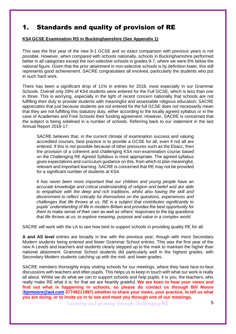### 1. Standards and quality of provision of RE

### **KS4 GCSE Examination RS in Buckinghamshire (See Appendix 1)**

This was the first year of the new 9-1 GCSE and so exact comparison with previous years is not possible. However, when compared with schools nationally, schools in Buckinghamshire performed better in all categories except the non-selective schools in grades 9-7, where we were 6% below the national figure. Given that the prior attainment in non-selective schools is by definition lower, this still represents good achievement. SACRE congratulates all involved, particularly the students who put in such hard work.

There has been a significant drop of 11% in entries for 2018, most especially in our Grammar Schools. Overall only 29% of KS4 students were entered for the Full GCSE, which is less than one in three. This is worrying, especially in the light of recent concern nationally that schools are not fulfilling their duty to provide students with meaningful and assessable religious education. SACRE appreciates that just because students are not entered for the full GCSE does not necessarily mean that they are not fulfilling this statutory duty, either according to the locally agreed syllabus or in the case of Academies and Free Schools their funding agreement. However, SACRE is concerned that the subject is being sidelined in a number of schools. Referring back to our statement in the last Annual Report 2016-17:

SACRE believes that, in the current climate of examination success and valuing accredited courses, best practice is to provide a GCSE for all, even if not all are entered. If this is not possible because of other pressures such as the Ebacc, then the provision of a coherent and challenging KS4 non-examination course based on the Challenging RE Agreed Syllabus is most appropriate. The agreed syllabus gives expectations and curriculum guidance on this, from which to plan meaningful, relevant and important learning. SACRE is concerned that RE may not be provided for a significant number of students at KS4.

*It has never been more important that our children and young people have an accurate knowledge and critical understanding of religion and belief and are able to empathize with the deep and rich traditions, whilst also having the skill and discernment to reflect critically for themselves on the questions, experiences and challenges that life throws at us. RE is a subject that contributes significantly to pupils' understanding of life in modern Britain and provides the best opportunity for them to make sense of their own as well as others' responses to the big questions that life throws at us; to explore meaning, purpose and value in a complex world.*

SACRE will work with the LA to see how best to support schools in providing quality RE for all.

**A and AS level** entries are broadly in line with the previous year, though with more Secondary Modern students being entered and fewer Grammar School entries. This was the first year of the new A Levels and teachers and students clearly stepped up to the mark to maintain the higher than national attainment. Grammar School students did particularly well in the highest grades, with Secondary Modern students catching up with the mid- and lower-grades.

SACRE members thoroughly enjoy visiting schools for our meetings, where they have face-to-face discussions with teachers and often pupils. This helps us to keep in touch with what our work is really all about. Whilst we do what we can to support schools and help pupils, it is you, the teachers, who really make RE what it is: for that we are heartily grateful. **We are keen to hear your views and find out what is happening in schools, so please do contact us through Bill Moore [\(bjvmoore@aol.com](mailto:bjvmoore@aol.com) 07749211997) whether to share your views, your practice, to tell us what you are doing, or to invite us in to see and meet you through one of our meetings.**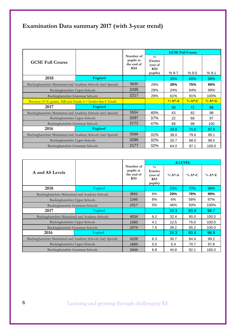# **Examination Data summary 2017 (with 3-year trend)**

|                                                                   |         |                                             |                                                              | <b>GCSE Full Course</b> |            |             |  |  |
|-------------------------------------------------------------------|---------|---------------------------------------------|--------------------------------------------------------------|-------------------------|------------|-------------|--|--|
| <b>GCSE Full Course</b>                                           |         | Number of<br>pupils at<br>the end of<br>KS4 | $\frac{0}{0}$<br><b>Entries</b><br>(out of<br>KS4<br>pupils) | $%9-7$                  | $%9-5$     | $%9-1$      |  |  |
| 2018                                                              | England |                                             |                                                              | 30%                     | 60%        | 98%         |  |  |
| Buckinghamshire Maintained and Academy Schools (incl. Special)    |         | 5635                                        | 29%                                                          | 39%                     | 75%        | 99%         |  |  |
| Buckinghamshire Upper Schools                                     |         | 3335                                        | 29%                                                          | 24%                     | 64%        | 99%         |  |  |
| Buckinghamshire Grammar Schools                                   |         | 2217                                        | 29%                                                          | 61%                     | 91%        | 100%        |  |  |
| Previous $A^*$ -G grades. NB new Grade $4 = border$ -line C Grade |         |                                             |                                                              | $\frac{6}{6}A^* - A$    | $\% A*$ -C | $\% A* - G$ |  |  |
| 2017                                                              | England |                                             |                                                              | 30                      | 72         | 98          |  |  |
| Buckinghamshire Maintained and Academy Schools (incl. Special)    |         | 5554                                        | 40%                                                          | 43                      | 82         | 98          |  |  |
| Buckinghamshire Upper Schools                                     |         | 3297                                        | 37%                                                          | 22                      | 68         | 97          |  |  |
| Buckinghamshire Grammar Schools                                   |         | 2172                                        | 47%                                                          | 68                      | 98         | 100         |  |  |
| 2016                                                              | England |                                             |                                                              | 29.8                    | 71.6       | 97.8        |  |  |
| Buckinghamshire Maintained and Academy Schools (incl. Special)    |         | 5599                                        | 31%                                                          | 38.0                    | 79.6       | 99.1        |  |  |
| Buckinghamshire Upper Schools                                     |         | 3295                                        | 32%                                                          | 20.7                    | 68.0       | 98.5        |  |  |
| Buckinghamshire Grammar Schools                                   |         | 2177                                        | 32%                                                          | 64.0                    | 97.1       | 100.0       |  |  |

|                                                                |         |                                             |                                                              | <b>A LEVEL</b> |            |           |  |  |
|----------------------------------------------------------------|---------|---------------------------------------------|--------------------------------------------------------------|----------------|------------|-----------|--|--|
| A and AS Levels                                                |         | Number of<br>pupils at<br>the end of<br>KS5 | $\frac{0}{0}$<br><b>Entries</b><br>(out of<br>KS5<br>pupils) | $\% A^*A$      | $\% A*$ -C | $\%$ A*-E |  |  |
| 2018                                                           | England |                                             |                                                              | 23%            | 70%        | 98%       |  |  |
| Buckinghamshire Maintained and Academy Schools                 |         | 3662                                        | 6%                                                           | 29%            | 78%        | 99%       |  |  |
| Buckinghamshire Upper Schools                                  |         | 1345                                        | 6%                                                           | 6%             | 58%        | 97%       |  |  |
| Buckinghamshire Grammar Schools                                |         | 2317                                        | 5%                                                           | 46%            | 93%        | 100%      |  |  |
| 2017                                                           | England |                                             |                                                              | 24.3           | 80.9       | 98.7      |  |  |
| Buckinghamshire Maintained and Academy Schools                 |         | 4034                                        | 6.2                                                          | 32.4           | 90.0       | 100.0     |  |  |
| Buckinghamshire Upper Schools                                  |         | 1560                                        | 4.1                                                          | 12.5           | 75.0       | 100.0     |  |  |
| Buckinghamshire Grammar Schools                                |         | 2474                                        | 7.5                                                          | 39.2           | 95.2       | 100.0     |  |  |
| 2016                                                           | England |                                             |                                                              | 24.3           | 80.4       | 98.9      |  |  |
| Buckinghamshire Maintained and Academy Schools (incl. Special) |         | 4109                                        | 6.3                                                          | 30.7           | 84.4       | 99.2      |  |  |
| Buckinghamshire Upper Schools                                  |         | 1665                                        | 5.5                                                          | 5.4            | 70.7       | 97.8      |  |  |
| Buckinghamshire Grammar Schools                                |         | 2444                                        | 6.8                                                          | 44.8           | 92.1       | 100.0     |  |  |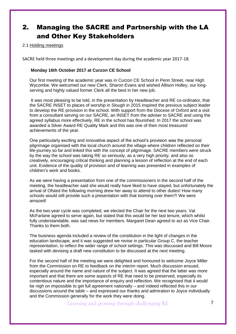# 2. Managing the SACRE and Partnership with the LA and Other Key Stakeholders

### 2.1 Holding meetings

SACRE held three meetings and a development day during the academic year 2017-18.

#### **Monday 16th October 2017 at Curzon CE School**

Our first meeting of the academic year was in Curzon CE School in Penn Street, near High Wycombe. We welcomed our new Clerk, Sharon Evans and wished Allison Holley, our longserving and highly valued former Clerk all the best in her new job.

It was most pleasing to be told, in the presentation by Headteacher and RE co-ordinator, that the SACRE INSET to places of worship in Slough in 2015 inspired the previous subject leader to develop the RE provision in the school. With support from the Diocese of Oxford and a visit from a consultant serving on our SACRE, an INSET from the adviser to SACRE and using the agreed syllabus more effectively, RE in the school has flourished. In 2017 the school was awarded a Silver Award RE Quality Mark and this was one of their most treasured achievements of the year.

One particularly exciting and innovative aspect of the school's provision was the personal pilgrimage organised with the local church around the village where children reflected on their life-journey so far and linked this with the concept of pilgrimage. SACRE members were struck by the way the school was taking RE so seriously, as a very high priority, and also so creatively, encouraging critical thinking and planning a lesson of reflection at the end of each unit. Evidence of the quality of provision and of learning was presented in examples of children's work and books.

As we were having a presentation from one of the commissioners in the second half of the meeting, the headteacher said she would really have liked to have stayed, but unfortunately the arrival of Ofsted the following morning drew her away to attend to other duties! How many schools would still provide such a presentation with that looming over them?! We were amazed!

As the two-year cycle was completed, we elected the Chair for the next two years. Val McFarlane agreed to serve again, but stated that this would be her last tenure, which whilst fully understandable, was sad news for members. Margaret Dean agreed to act as Vice Chair. Thanks to them both.

The business agenda included a review of the constitution in the light of changes in the education landscape, and it was suggested we revise in particular Group C, the teacher representation, to reflect the wider range of school settings. This was discussed and Bill Moore tasked with devising a draft new constitution to be discussed at the next meeting.

For the second half of the meeting we were delighted and honoured to welcome Joyce Miller from the Commission on RE to feedback on the interim report. Much discussion ensued, especially around the name and nature of the subject. It was agreed that the latter was more important and that there are some aspects of RE that need to be preserved, especially its contentious nature and the importance of enquiry and reflection. We recognised that it would be nigh on impossible to get full agreement nationally – and indeed reflected this in our discussions around the table – and expressed our thanks and admiration to Joyce individually and the Commission generally for the work they were doing.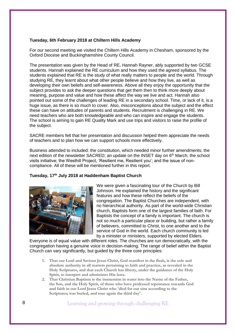### **Tuesday, 6th February 2018 at Chiltern Hills Academy**

For our second meeting we visited the Chiltern Hills Academy in Chesham, sponsored by the Oxford Diocese and Buckinghamshire County Council.

The presentation was given by the Head of RE, Hannah Rayner, ably supported by two GCSE students. Hannah explained the RE curriculum and how they used the agreed syllabus. The students explained that RE is the study of what really matters to people and the world. Through studying RE, they learnt about what other people believe and how they live, as well as developing their own beliefs and self-awareness. Above all they enjoy the opportunity that the subject provides to ask the deeper questions that get them then to think more deeply about meaning, purpose and value and how these affect the way we live and act. Hannah also pointed out some of the challenges of leading RE in a secondary school. Time, or lack of it, is a huge issue, as there is so much to cover. Also, misconceptions about the subject and the effect these can have on attitudes of parents and students. Recruitment is challenging in RE. We need teachers who are both knowledgeable and who can inspire and engage the students. The school is aiming to gain RE Quality Mark and use trips and visitors to raise the profile of the subject.

SACRE members felt that her presentation and discussion helped them appreciate the needs of teachers and to plan how we can support schools more effectively.

Business attended to included: the constitution, which needed minor further amendments; the next edition of the newsletter SACRED; an update on the INSET day on 6<sup>th</sup> March; the school visits initiative; the Westhill Project, 'Resilient me, Resilient you'; and the issue of noncompliance. All of these will be mentioned further in this report.

#### **Tuesday, 17th July 2018 at Haddenham Baptist Church**



We were given a fascinating tour of the Church by Bill Johnson. He explained the history and the significant features and how these reflect the beliefs of the congregation. The Baptist Churches are independent, with no hierarchical authority. As part of the world-wide Christian church, Baptists form one of the largest families of faith. For Baptists the concept of a family is important. The church is not so much a particular place or building, but rather a family of believers, committed to Christ, to one another and to the service of God in the world. Each church community is led by a minister or ministers, supported by elected Elders.

Everyone is of equal value with different roles. The churches are run democratically, with the congregation having a genuine voice in decision-making. The range of belief within the Baptist Church can vary significantly, but guided by the three core principles:

- **1. That our Lord and Saviour Jesus Christ, God manifest in the flesh, is the sole and absolute authority in all matters pertaining to faith and practice, as revealed in the Holy Scriptures, and that each Church has liberty, under the guidance of the Holy Spirit, to interpret and administer His laws.**
- **2. That Christian Baptism is the immersion in water into the Name of the Father, the Son, and the Holy Spirit, of those who have professed repentance towards God and faith in our Lord Jesus Christ who 'died for our sins according to the Scriptures; was buried, and rose again the third day'.**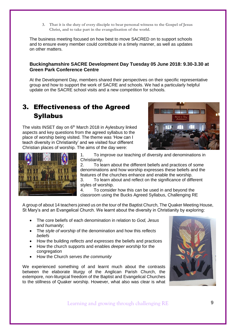**3. That it is the duty of every disciple to bear personal witness to the Gospel of Jesus Christ, and to take part in the evangelisation of the world.**

The business meeting focused on how best to move SACRED on to support schools and to ensure every member could contribute in a timely manner, as well as updates on other matters.

### **Buckinghamshire SACRE Development Day Tuesday 05 June 2018: 9.30-3.30 at Green Park Conference Centre**

At the Development Day, members shared their perspectives on their specific representative group and how to support the work of SACRE and schools. We had a particularly helpful update on the SACRE school visits and a new competition for schools.

# 3. Effectiveness of the Agreed Syllabus

The visits INSET day on  $6<sup>th</sup>$  March 2018 in Aylesbury linked aspects and key questions from the agreed syllabus to the place of worship being visited. The theme was 'How can I teach diversity in Christianity' and we visited four different Christian places of worship. The aims of the day were:





1. To improve our teaching of diversity and denominations in Christianity.

2. To learn about the different beliefs and practices of some denominations and how worship expresses these beliefs and the features of the churches enhance and enable the worship.

3. To learn about and reflect on the significance of different styles of worship.

4. To consider how this can be used in and beyond the classroom using the Bucks Agreed Syllabus, Challenging RE

A group of about 14 teachers joined us on the tour of the Baptist Church, The Quaker Meeting House, St Mary's and an Evangelical Church. We learnt about the diversity in Christianity by exploring:

- The core beliefs of each denomination in relation to *God, Jesus and humanity*;
- The *style of worship* of the denomination and how this *reflects beliefs*
- How the building *reflects and expresses* the beliefs and practices
- How the church supports and enables *deeper worship* for the congregation
- How the Church *serves the community*

We experienced something of and learnt much about the contrasts between the elaborate liturgy of the Anglican Parish Church, the extempore, non-liturgical freedom of the Baptist and Evangelical Churches to the stillness of Quaker worship. However, what also was clear is what

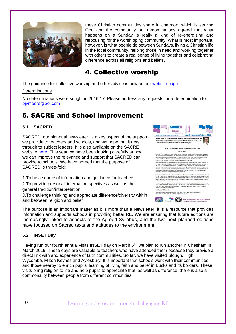

these Christian communities share in common, which is serving God and the community. All denominations agreed that what happens on a Sunday is really a kind of re-energising and refocusing for the worshipping community. What is most important, however, is what people do between Sundays, living a Christian life in the local community, helping those in need and working together with others to create a real sense of living together and celebrating difference across all religions and beliefs.

## 4. Collective worship

The guidance for collective worship and other advice is now on our [website page.](https://schoolsweb.buckscc.gov.uk/sacre/)

### **Determinations**

No determinations were sought in 2016-17. Please address any requests for a determination to [bjvmoore@aol.com](mailto:bjvmoore@aol.com)

# 5. SACRE and School Improvement

### **5.1 SACRED**

SACRED, our biannual newsletter, is a key aspect of the support we provide to teachers and schools, and we hope that it gets through to subject leaders. It is also available on the SACRE website [here.](https://schoolsweb.buckscc.gov.uk/curriculum-and-learning/sacre/sacre-newsletters/) This year we have been looking carefully at how we can improve the relevance and support that SACRED can provide to schools. We have agreed that the purpose of SACRED is three-fold:

1.To be a source of information and guidance for teachers

2.To provide personal, internal perspectives as well as the general tradition/interpretation

3.To challenge thinking and appreciate difference/diversity within and between religion and belief



The purpose is an important matter as it is more than a Newsletter, it is a resource that provides information and supports schools in providing better RE. We are ensuring that future editions are increasingly linked to aspects of the Agreed Syllabus, and the two next planned editions have focused on Sacred texts and attitudes to the environment.

### **5.2 INSET Day**

Having run our fourth annual visits INSET day on March 6<sup>th</sup>, we plan to run another in Chesham in March 2019. These days are valuable to teachers who have attended them because they provide a direct link with and experience of faith communities. So far, we have visited Slough, High Wycombe, Milton Keynes and Aylesbury. It is important that schools work with their communities and those nearby to enrich pupils' learning of living faith and belief in Bucks and its borders. These visits bring religion to life and help pupils to appreciate that, as well as difference, there is also a commonality between people from different communities.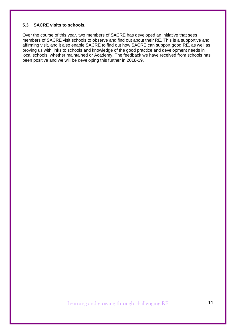### **5.3 SACRE visits to schools.**

Over the course of this year, two members of SACRE has developed an initiative that sees members of SACRE visit schools to observe and find out about their RE. This is a supportive and affirming visit, and it also enable SACRE to find out how SACRE can support good RE, as well as proving us with links to schools and knowledge of the good practice and development needs in local schools, whether maintained or Academy. The feedback we have received from schools has been positive and we will be developing this further in 2018-19.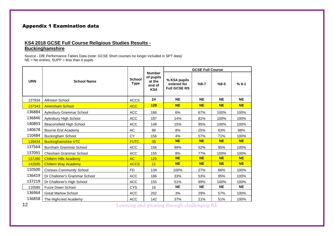### Appendix 1 Examination data

### **KS4 2018 GCSE Full Course Religious Studies Results - Buckinghamshire**

Source - DfE Performance Tables Data (note: GCSE Short courses no longer included in SPT data) NE = No entries, SUPP = less than 6 pupils

|            |                                 |                              |                                                       |                                                    | <b>GCSE Full Course</b> |           |           |  |  |
|------------|---------------------------------|------------------------------|-------------------------------------------------------|----------------------------------------------------|-------------------------|-----------|-----------|--|--|
| <b>URN</b> | <b>School Name</b>              | <b>School</b><br><b>Type</b> | <b>Number</b><br>of pupils<br>at the<br>end of<br>KS4 | % KS4 pupils<br>entered for<br><b>Full GCSE RS</b> | $%9 - 7$                | $%9 - 5$  |           |  |  |
| 137934     | <b>Alfriston School</b>         | <b>ACCS</b>                  | 24                                                    | <b>NE</b>                                          | <b>NE</b>               | <b>NE</b> | <b>NE</b> |  |  |
| 137343     | <b>Amersham School</b>          | <b>ACC</b>                   | 129                                                   | <b>NE</b>                                          | <b>NE</b>               | <b>NE</b> | <b>NE</b> |  |  |
| 136884     | Aylesbury Grammar School        | <b>ACC</b>                   | 186                                                   | 6%                                                 | 67%                     | 100%      | 100%      |  |  |
| 136846     | Aylesbury High School           | <b>ACC</b>                   | 187                                                   | 14%                                                | 81%                     | 100%      | 100%      |  |  |
| 140893     | Beaconsfield High School        | <b>ACC</b>                   | 148                                                   | 15%                                                | 95%                     | 100%      | 100%      |  |  |
| 140678     | Bourne End Academy              | AC                           | 98                                                    | 8%                                                 | 25%                     | 63%       | 88%       |  |  |
| 110484     | <b>Buckingham School</b>        | CY                           | 156                                                   | 4%                                                 | 57%                     | 71%       | 100%      |  |  |
| 139434     | <b>Buckinghamshire UTC</b>      | <b>FUTC</b>                  | 38                                                    | <b>NE</b>                                          | <b>NE</b>               | <b>NE</b> | <b>NE</b> |  |  |
| 137564     | Burnham Grammar School          | <b>ACC</b>                   | 156                                                   | 99%                                                | 52%                     | 95%       | 100%      |  |  |
| 137091     | Chesham Grammar School          | ACC                          | 155                                                   | 8%                                                 | 77%                     | 100%      | 100%      |  |  |
| 137280     | <b>Chiltern Hills Academy</b>   | <b>AC</b>                    | 125                                                   | <b>NE</b>                                          | <b>NE</b>               | <b>NE</b> | <b>NE</b> |  |  |
| 142695     | <b>Chiltern Way Academy</b>     | <b>ACCS</b>                  | 21                                                    | <b>NE</b>                                          | <b>NE</b>               | <b>NE</b> | <b>NE</b> |  |  |
| 110500     | <b>Cressex Community School</b> | <b>FD</b>                    | 134                                                   | 100%                                               | 27%                     | 66%       | 100%      |  |  |
| 136419     | Dr Challoner's Grammar School   | <b>ACC</b>                   | 186                                                   | 33%                                                | 53%                     | 95%       | 100%      |  |  |
| 137219     | Dr Challoner's High School      | ACC                          | 155                                                   | 51%                                                | 99%                     | 100%      | 100%      |  |  |
| 110585     | <b>Furze Down School</b>        | <b>CYS</b>                   | 16                                                    | <b>NE</b>                                          | <b>NE</b>               | <b>NE</b> | <b>NE</b> |  |  |
| 136964     | <b>Great Marlow School</b>      | <b>ACC</b>                   | 202                                                   | 3%                                                 | 29%                     | 57%       | 100%      |  |  |
| 136858     | The Highcrest Academy           | <b>ACC</b>                   | 142                                                   | 37%                                                | 21%                     | 51%       | 100%      |  |  |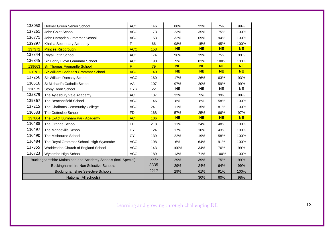| 138058 | Holmer Green Senior School                                     | <b>ACC</b> | 146  | 88%       | 22%       | 75%       | 99%       |
|--------|----------------------------------------------------------------|------------|------|-----------|-----------|-----------|-----------|
| 137261 | John Colet School                                              | <b>ACC</b> | 173  | 23%       | 35%       | 75%       | 100%      |
| 136771 | John Hampden Grammar School                                    | <b>ACC</b> | 153  | 32%       | 69%       | 94%       | 100%      |
| 139897 | Khalsa Secondary Academy                                       | F          | 66   | 98%       | 15%       | 45%       | 100%      |
| 137372 | <b>Princes Risborough</b>                                      | <b>ACC</b> | 158  | <b>NE</b> | <b>NE</b> | <b>NE</b> | <b>NE</b> |
| 137344 | Royal Latin School                                             | <b>ACC</b> | 174  | 96%       | 39%       | 75%       | 99%       |
| 136845 | Sir Henry Floyd Grammar School                                 | <b>ACC</b> | 190  | 9%        | 83%       | 100%      | 100%      |
| 139663 | <b>Sir Thomas Fremantle School</b>                             | F          | 79   | <b>NE</b> | <b>NE</b> | <b>NE</b> | <b>NE</b> |
| 136781 | <b>Sir William Borlase's Grammar School</b>                    | <b>ACC</b> | 140  | <b>NE</b> | <b>NE</b> | <b>NE</b> | <b>NE</b> |
| 137256 | Sir William Ramsay School                                      | <b>ACC</b> | 160  | 17%       | 26%       | 63%       | 93%       |
| 110516 | St Michael's Catholic School                                   | <b>VA</b>  | 107  | 97%       | 20%       | 59%       | 99%       |
| 110579 | Stony Dean School                                              | <b>CYS</b> | 22   | <b>NE</b> | <b>NE</b> | <b>NE</b> | <b>NE</b> |
| 135879 | The Aylesbury Vale Academy                                     | AC         | 137  | 32%       | 9%        | 39%       | 98%       |
| 139367 | The Beaconsfield School                                        | <b>ACC</b> | 146  | 8%        | 8%        | 58%       | 100%      |
| 137215 | The Chalfonts Community College                                | <b>ACC</b> | 241  | 11%       | 15%       | 81%       | 100%      |
| 110533 | The Cottesloe School                                           | <b>FD</b>  | 168  | 57%       | 25%       | 66%       | 97%       |
| 137864 | The E-Act Burnham Park Academy                                 | <b>AC</b>  | 106  | <b>NE</b> | <b>NE</b> | <b>NE</b> | <b>NE</b> |
| 110488 | The Grange School                                              | <b>FD</b>  | 218  | 11%       | 24%       | 48%       | 100%      |
| 110497 | The Mandeville School                                          | <b>CY</b>  | 124  | 17%       | 10%       | 43%       | 100%      |
| 110490 | The Misbourne School                                           | <b>CY</b>  | 139  | 22%       | 19%       | 58%       | 100%      |
| 136484 | The Royal Grammar School, High Wycombe                         | <b>ACC</b> | 198  | 6%        | 64%       | 91%       | 100%      |
| 137355 | Waddesdon Church of England School                             | <b>ACC</b> | 143  | 100%      | 34%       | 76%       | 99%       |
| 136723 | Wycombe High School                                            | <b>ACC</b> | 189  | 13%       | 71%       | 100%      | 100%      |
|        | Buckinghamshire Maintained and Academy Schools (incl. Special) |            | 5635 | 29%       | 39%       | 75%       | 99%       |
|        | <b>Buckinghamshire Non Selective Schools</b>                   |            | 3335 | 29%       | 24%       | 64%       | 99%       |
|        | <b>Buckinghamshire Selective Schools</b>                       |            | 2217 | 29%       | 61%       | 91%       | 100%      |
|        | National (All schools)                                         |            |      |           | 30%       | 60%       | 98%       |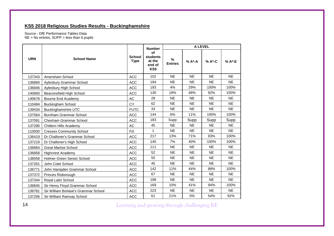### **KS5 2018 Religious Studies Results - Buckinghamshire**

Source - DfE Performance Tables Data  $NE = No$  entries,  $SUPP = less$  than 6 pupils

|            |                                      |                              | <b>Number</b>                             | <b>A LEVEL</b>      |           |           |           |
|------------|--------------------------------------|------------------------------|-------------------------------------------|---------------------|-----------|-----------|-----------|
| <b>URN</b> | <b>School Name</b>                   | <b>School</b><br><b>Type</b> | of<br>students<br>at the<br>end of<br>KS5 | %<br><b>Entries</b> | % A*-A    | % A*-C    | % A*-E    |
| 137343     | Amersham School                      | <b>ACC</b>                   | 102                                       | <b>NE</b>           | <b>NE</b> | <b>NE</b> | <b>NE</b> |
| 136884     | Aylesbury Grammar School             | <b>ACC</b>                   | 194                                       | <b>NE</b>           | <b>NE</b> | <b>NE</b> | <b>NE</b> |
| 136846     | Aylesbury High School                | <b>ACC</b>                   | 193                                       | 4%                  | 29%       | 100%      | 100%      |
| 140893     | Beaconsfield High School             | <b>ACC</b>                   | 130                                       | 19%                 | 48%       | 92%       | 100%      |
| 140678     | Bourne End Academy                   | AC                           | 28                                        | <b>NE</b>           | <b>NE</b> | <b>NE</b> | <b>NE</b> |
| 110484     | <b>Buckingham School</b>             | <b>CY</b>                    | 62                                        | <b>NE</b>           | <b>NE</b> | <b>NE</b> | <b>NE</b> |
| 139434     | <b>Buckinghamshire UTC</b>           | <b>FUTC</b>                  | 33                                        | <b>NE</b>           | <b>NE</b> | <b>NE</b> | NE        |
| 137564     | Burnham Grammar School               | <b>ACC</b>                   | 144                                       | 6%                  | 11%       | 100%      | 100%      |
| 137091     | <b>Chesham Grammar School</b>        | <b>ACC</b>                   | 183                                       | Supp                | Supp      | Supp      | Supp      |
| 137280     | Chiltern Hills Academy               | AC                           | 45                                        | <b>NE</b>           | <b>NE</b> | <b>NE</b> | <b>NE</b> |
| 110500     | <b>Cressex Community School</b>      | <b>FD</b>                    | $\mathbf{1}$                              | <b>NE</b>           | <b>NE</b> | <b>NE</b> | <b>NE</b> |
| 136419     | Dr Challoner's Grammar School        | <b>ACC</b>                   | 217                                       | 13%                 | 71%       | 93%       | 100%      |
| 137219     | Dr Challoner's High School           | <b>ACC</b>                   | 145                                       | 7%                  | 40%       | 100%      | 100%      |
| 136964     | <b>Great Marlow School</b>           | <b>ACC</b>                   | 111                                       | <b>NE</b>           | <b>NE</b> | <b>NE</b> | <b>NE</b> |
| 136858     | <b>Highcrest Academy</b>             | <b>ACC</b>                   | 52                                        | <b>NE</b>           | <b>NE</b> | <b>NE</b> | <b>NE</b> |
| 138058     | Holmer Green Senior School           | <b>ACC</b>                   | 55                                        | <b>NE</b>           | <b>NE</b> | <b>NE</b> | <b>NE</b> |
| 137261     | John Colet School                    | <b>ACC</b>                   | 45                                        | <b>NE</b>           | <b>NE</b> | <b>NE</b> | NE        |
| 136771     | John Hampden Grammar School          | <b>ACC</b>                   | 142                                       | 11%                 | 44%       | 88%       | 100%      |
| 137372     | Princes Risborough                   | <b>ACC</b>                   | 67                                        | <b>NE</b>           | <b>NE</b> | <b>NE</b> | <b>NE</b> |
| 137344     | Royal Latin School                   | <b>ACC</b>                   | 198                                       | <b>NE</b>           | <b>NE</b> | <b>NE</b> | NE.       |
| 136845     | Sir Henry Floyd Grammar School       | <b>ACC</b>                   | 169                                       | 10%                 | 41%       | 94%       | 100%      |
| 136781     | Sir William Borlase's Grammar School | <b>ACC</b>                   | 223                                       | <b>NE</b>           | <b>NE</b> | <b>NE</b> | <b>NE</b> |
| 137256     | Sir William Ramsay School            | <b>ACC</b>                   | 61                                        | 21%                 | 0%        | 54%       | 92%       |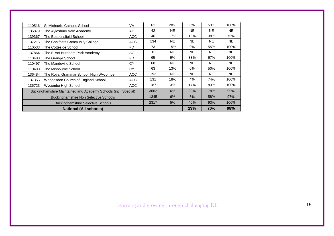| 110516 | St Michael's Catholic School                                   | <b>VA</b>      | 61   | 28%       | $0\%$     | 53% | 100%      |
|--------|----------------------------------------------------------------|----------------|------|-----------|-----------|-----|-----------|
| 135879 | The Aylesbury Vale Academy                                     | AC             | 42   | <b>NE</b> | <b>NE</b> | NE. | NE.       |
| 139367 | The Beaconsfield School                                        | ACC            | 46   | 17%       | 13%       | 38% | 75%       |
| 137215 | The Chalfonts Community College                                | ACC            | 134  | <b>NE</b> | <b>NE</b> | NE. | <b>NE</b> |
| 110533 | The Cottesloe School                                           | F <sub>D</sub> | 73   | 15%       | 9%        | 55% | 100%      |
| 137864 | The E-Act Burnham Park Academy                                 | AC             | 0    | <b>NE</b> | <b>NE</b> | NE. | NE.       |
| 110488 | The Grange School                                              | F <sub>D</sub> | 65   | 9%        | 33%       | 67% | 100%      |
| 110497 | The Mandeville School                                          | CY             | 68   | <b>NE</b> | <b>NE</b> | NE. | <b>NE</b> |
| 110490 | The Misbourne School                                           | CY             | 63   | 13%       | 0%        | 50% | 100%      |
| 136484 | The Royal Grammar School, High Wycombe                         | ACC            | 192  | <b>NE</b> | <b>NE</b> | NE. | NE.       |
| 137355 | Waddesdon Church of England School                             | <b>ACC</b>     | 131  | 18%       | 4%        | 74% | 100%      |
| 136723 | Wycombe High School                                            | ACC            | 187  | 3%        | 17%       | 83% | 100%      |
|        | Buckinghamshire Maintained and Academy Schools (incl. Special) |                | 3662 | 6%        | 29%       | 78% | 99%       |
|        | <b>Buckinghamshire Non Selective Schools</b>                   |                | 1345 | 6%        | 6%        | 58% | 97%       |
|        | <b>Buckinghamshire Selective Schools</b>                       |                | 2317 | 5%        | 46%       | 93% | 100%      |
|        | <b>National (All schools)</b>                                  |                |      |           | 23%       | 70% | 98%       |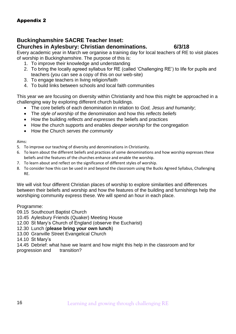### **Buckinghamshire SACRE Teacher Inset:**

### **Churches in Aylesbury: Christian denominations. 6/3/18**

Every academic year in March we organise a training day for local teachers of RE to visit places of worship in Buckinghamshire. The purpose of this is:

- 1. To improve their knowledge and understanding
- 2. To bring the locally agreed syllabus for RE (called 'Challenging RE') to life for pupils and teachers (you can see a copy of this on our web-site)
- 3. To engage teachers in living religion/faith
- 4. To build links between schools and local faith communities

This year we are focusing on diversity within Christianity and how this might be approached in a challenging way by exploring different church buildings.

- The core beliefs of each denomination in relation to *God, Jesus and humanity*;
- The *style of worship* of the denomination and how this *reflects beliefs*
- How the building *reflects and expresses* the beliefs and practices
- How the church supports and enables *deeper worship* for the congregation
- How the Church *serves the community*

Aims:

- 5. To improve our teaching of diversity and denominations in Christianity.
- 6. To learn about the different beliefs and practices of some denominations and how worship expresses these beliefs and the features of the churches enhance and enable the worship.
- 7. To learn about and reflect on the significance of different styles of worship.
- 8. To consider how this can be used in and beyond the classroom using the Bucks Agreed Syllabus, Challenging RE.

We will visit four different Christian places of worship to explore similarities and differences between their beliefs and worship and how the features of the building and furnishings help the worshiping community express these. We will spend an hour in each place.

Programme:

- 09.15 Southcourt Baptist Church
- 10.45 Aylesbury Friends (Quaker) Meeting House
- 12.00 St Mary's Church of England (observe the Eucharist)
- 12.30 Lunch (**please bring your own lunch**)
- 13.00 Granville Street Evangelical Church
- 14.10 St Mary's

14.45 Debrief: what have we learnt and how might this help in the classroom and for progression and transition?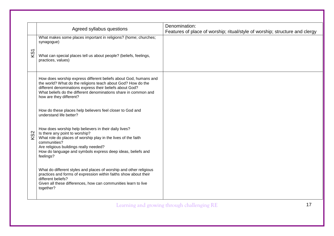|                 | Agreed syllabus questions                                                                                                                                                                                                                                                                      | Denomination:<br>Features of place of worship; ritual/style of worship; structure and clergy |
|-----------------|------------------------------------------------------------------------------------------------------------------------------------------------------------------------------------------------------------------------------------------------------------------------------------------------|----------------------------------------------------------------------------------------------|
|                 | What makes some places important in religions? (home; churches;<br>synagogue)                                                                                                                                                                                                                  |                                                                                              |
| KS1             | What can special places tell us about people? (beliefs, feelings,<br>practices, values)                                                                                                                                                                                                        |                                                                                              |
|                 | How does worship express different beliefs about God, humans and<br>the world? What do the religions teach about God? How do the<br>different denominations express their beliefs about God?<br>What beliefs do the different denominations share in common and<br>how are they different?     |                                                                                              |
|                 | How do these places help believers feel closer to God and<br>understand life better?                                                                                                                                                                                                           |                                                                                              |
| KS <sub>2</sub> | How does worship help believers in their daily lives?<br>Is there any point to worship?<br>What role do places of worship play in the lives of the faith<br>communities?<br>Are religious buildings really needed?<br>How do language and symbols express deep ideas, beliefs and<br>feelings? |                                                                                              |
|                 | What do different styles and places of worship and other religious<br>practices and forms of expression within faiths show about their<br>different beliefs?<br>Given all these differences, how can communities learn to live<br>together?                                                    |                                                                                              |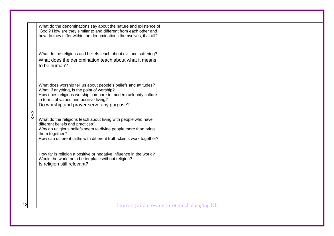|    |     | What do the denominations say about the nature and existence of                                                           |
|----|-----|---------------------------------------------------------------------------------------------------------------------------|
|    |     | 'God'? How are they similar to and different from each other and                                                          |
|    |     | how do they differ within the denominations themselves, if at all?                                                        |
|    |     |                                                                                                                           |
|    |     |                                                                                                                           |
|    |     | What do the religions and beliefs teach about evil and suffering?                                                         |
|    |     | What does the denomination teach about what it means                                                                      |
|    |     | to be human?                                                                                                              |
|    |     |                                                                                                                           |
|    |     |                                                                                                                           |
|    |     |                                                                                                                           |
|    |     | What does worship tell us about people's beliefs and attitudes?                                                           |
|    |     | What, if anything, is the point of worship?                                                                               |
|    |     | How does religious worship compare to modern celebrity culture                                                            |
|    |     | in terms of values and positive living?                                                                                   |
|    |     | Do worship and prayer serve any purpose?                                                                                  |
|    |     |                                                                                                                           |
|    | KS3 | What do the religions teach about living with people who have                                                             |
|    |     | different beliefs and practices?                                                                                          |
|    |     | Why do religious beliefs seem to divide people more than bring                                                            |
|    |     | them together?                                                                                                            |
|    |     | How can different faiths with different truth-claims work together?                                                       |
|    |     |                                                                                                                           |
|    |     |                                                                                                                           |
|    |     | How far is religion a positive or negative influence in the world?<br>Would the world be a better place without religion? |
|    |     | Is religion still relevant?                                                                                               |
|    |     |                                                                                                                           |
|    |     |                                                                                                                           |
|    |     |                                                                                                                           |
|    |     |                                                                                                                           |
|    |     |                                                                                                                           |
|    |     |                                                                                                                           |
|    |     |                                                                                                                           |
| 18 |     | Learning and growing through challenging RE                                                                               |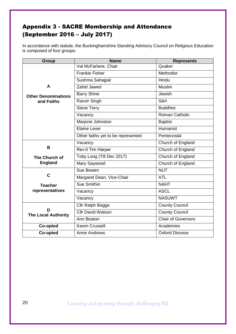### Appendix 3 - SACRE Membership and Attendance (September 2016 – July 2017)

In accordance with statute, the Buckinghamshire Standing Advisory Council on Religious Education is composed of four groups:

| <b>Group</b>                    | <b>Name</b>                        | <b>Represents</b>         |
|---------------------------------|------------------------------------|---------------------------|
|                                 | Val McFarlane, Chair               | Quaker                    |
|                                 | <b>Frankie Fisher</b>              | Methodist                 |
|                                 | Sushma Sahajpal                    | Hindu                     |
| A                               | <b>Zahid Jawed</b>                 | <b>Muslim</b>             |
| <b>Other Denominations</b>      | <b>Barry Shine</b>                 | Jewish                    |
| and Faiths                      | Ranvir Singh                       | <b>Sikh</b>               |
|                                 | <b>Steve Terry</b>                 | <b>Buddhist</b>           |
|                                 | Vacancy                            | Roman Catholic            |
|                                 | Marjorie Johnston                  | <b>Baptist</b>            |
|                                 | <b>Elaine Lever</b>                | Humanist                  |
|                                 | Other faiths yet to be represented | Pentecostal               |
|                                 | Vacancy                            | Church of England         |
| B                               | Rev'd Tim Harper                   | Church of England         |
| The Church of                   | Toby Long (Till Dec 2017)          | Church of England         |
| <b>England</b>                  | Mary Saywood                       | Church of England         |
|                                 | Sue Bowen                          | <b>NUT</b>                |
| $\mathbf C$                     | Margaret Dean, Vice-Chair          | <b>ATL</b>                |
| <b>Teacher</b>                  | Sue Smithin                        | <b>NAHT</b>               |
| representatives                 | Vacancy                            | <b>ASCL</b>               |
|                                 | Vacancy                            | <b>NASUWT</b>             |
|                                 | Cllr Ralph Bagge                   | <b>County Council</b>     |
| D<br><b>The Local Authority</b> | <b>Cllr David Watson</b>           | <b>County Council</b>     |
|                                 | Ann Beaton                         | <b>Chair of Governors</b> |
| Co-opted                        | Karen Crussell                     | Academies                 |
| Co-opted                        | <b>Anne Andrews</b>                | <b>Oxford Diocese</b>     |